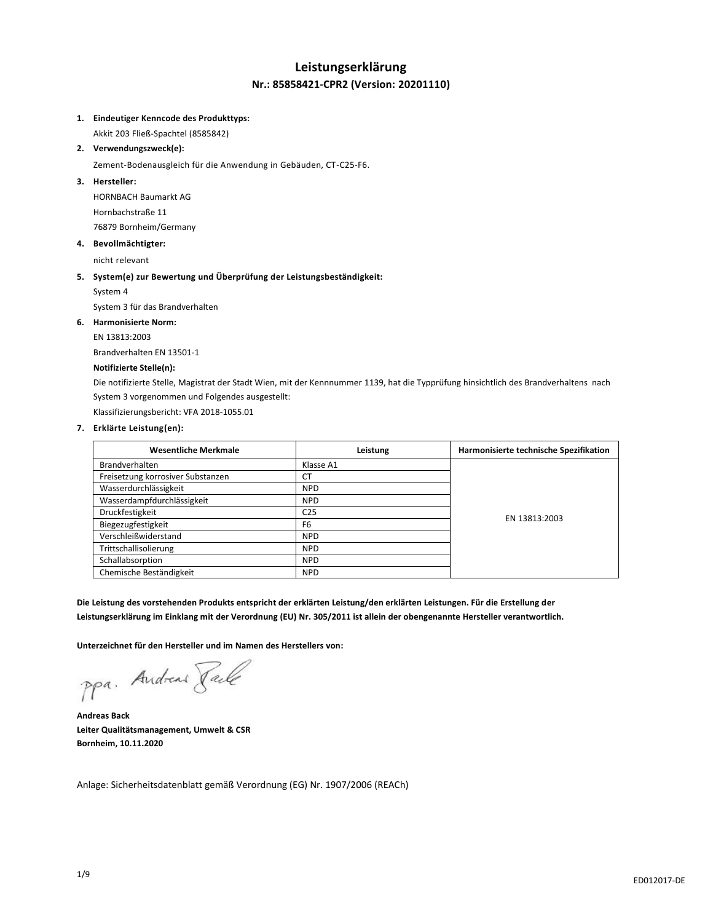## **Leistungserklärung Nr.: 85858421-CPR2 (Version: 20201110)**

#### **1. Eindeutiger Kenncode des Produkttyps:**

Akkit 203 Fließ-Spachtel (8585842)

**2. Verwendungszweck(e):**

Zement-Bodenausgleich für die Anwendung in Gebäuden, CT-C25-F6.

## **3. Hersteller:**

HORNBACH Baumarkt AG Hornbachstraße 11 76879 Bornheim/Germany

## **4. Bevollmächtigter:**

nicht relevant

## **5. System(e) zur Bewertung und Überprüfung der Leistungsbeständigkeit:**

System 4

System 3 für das Brandverhalten

#### **6. Harmonisierte Norm:**

EN 13813:2003

Brandverhalten EN 13501-1

## **Notifizierte Stelle(n):**

Die notifizierte Stelle, Magistrat der Stadt Wien, mit der Kennnummer 1139, hat die Typprüfung hinsichtlich des Brandverhaltens nach System 3 vorgenommen und Folgendes ausgestellt:

Klassifizierungsbericht: VFA 2018-1055.01

## **7. Erklärte Leistung(en):**

| <b>Wesentliche Merkmale</b>       | Leistung        | Harmonisierte technische Spezifikation |
|-----------------------------------|-----------------|----------------------------------------|
| <b>Brandverhalten</b>             | Klasse A1       |                                        |
| Freisetzung korrosiver Substanzen | <b>CT</b>       |                                        |
| Wasserdurchlässigkeit             | <b>NPD</b>      |                                        |
| Wasserdampfdurchlässigkeit        | <b>NPD</b>      | EN 13813:2003                          |
| Druckfestigkeit                   | C <sub>25</sub> |                                        |
| Biegezugfestigkeit                | F <sub>6</sub>  |                                        |
| Verschleißwiderstand              | <b>NPD</b>      |                                        |
| Trittschallisolierung             | <b>NPD</b>      |                                        |
| Schallabsorption                  | <b>NPD</b>      |                                        |
| Chemische Beständigkeit           | <b>NPD</b>      |                                        |

**Die Leistung des vorstehenden Produkts entspricht der erklärten Leistung/den erklärten Leistungen. Für die Erstellung der Leistungserklärung im Einklang mit der Verordnung (EU) Nr. 305/2011 ist allein der obengenannte Hersteller verantwortlich.**

**Unterzeichnet für den Hersteller und im Namen des Herstellers von:**

ppa. Andreas Facto

**Andreas Back Leiter Qualitätsmanagement, Umwelt & CSR Bornheim, 10.11.2020**

Anlage: Sicherheitsdatenblatt gemäß Verordnung (EG) Nr. 1907/2006 (REACh)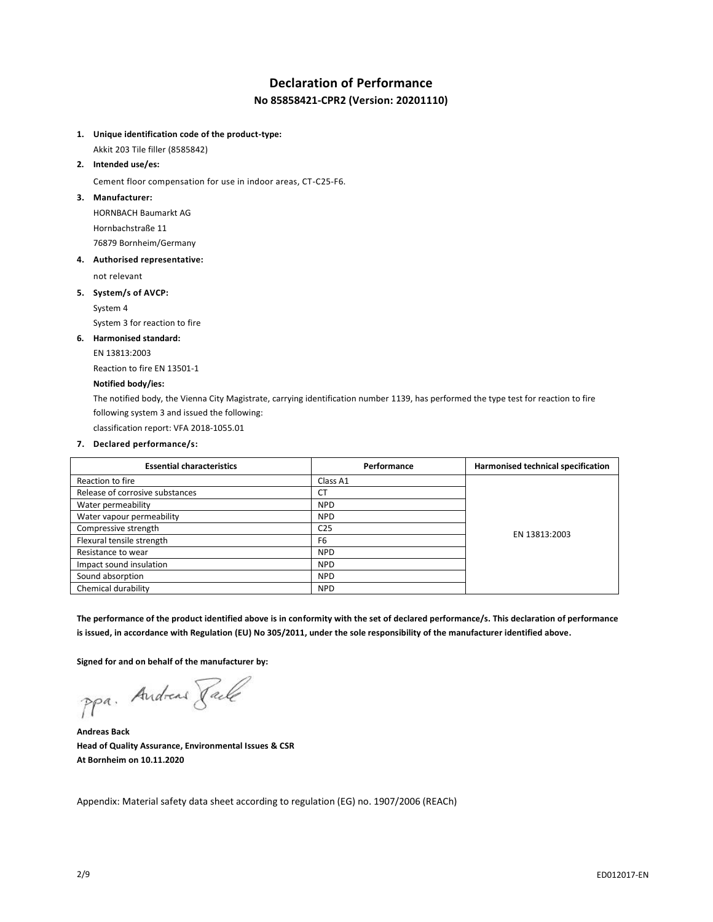# **Declaration of Performance No 85858421-CPR2 (Version: 20201110)**

**1. Unique identification code of the product-type:**

Akkit 203 Tile filler (8585842)

**2. Intended use/es:**

Cement floor compensation for use in indoor areas, CT-C25-F6.

**3. Manufacturer:**

HORNBACH Baumarkt AG Hornbachstraße 11 76879 Bornheim/Germany

**4. Authorised representative:**

not relevant

**5. System/s of AVCP:**

System 4

System 3 for reaction to fire

**6. Harmonised standard:**

EN 13813:2003

Reaction to fire EN 13501-1

#### **Notified body/ies:**

The notified body, the Vienna City Magistrate, carrying identification number 1139, has performed the type test for reaction to fire following system 3 and issued the following:

classification report: VFA 2018-1055.01

**7. Declared performance/s:**

| <b>Essential characteristics</b> | Performance     | Harmonised technical specification |
|----------------------------------|-----------------|------------------------------------|
| Reaction to fire                 | Class A1        |                                    |
| Release of corrosive substances  | <b>CT</b>       |                                    |
| Water permeability               | <b>NPD</b>      |                                    |
| Water vapour permeability        | <b>NPD</b>      |                                    |
| Compressive strength             | C <sub>25</sub> |                                    |
| Flexural tensile strength        | F <sub>6</sub>  | EN 13813:2003                      |
| Resistance to wear               | <b>NPD</b>      |                                    |
| Impact sound insulation          | <b>NPD</b>      |                                    |
| Sound absorption                 | <b>NPD</b>      |                                    |
| Chemical durability              | <b>NPD</b>      |                                    |

**The performance of the product identified above is in conformity with the set of declared performance/s. This declaration of performance is issued, in accordance with Regulation (EU) No 305/2011, under the sole responsibility of the manufacturer identified above.**

**Signed for and on behalf of the manufacturer by:**

ppa. Andreas Face

**Andreas Back Head of Quality Assurance, Environmental Issues & CSR At Bornheim on 10.11.2020**

Appendix: Material safety data sheet according to regulation (EG) no. 1907/2006 (REACh)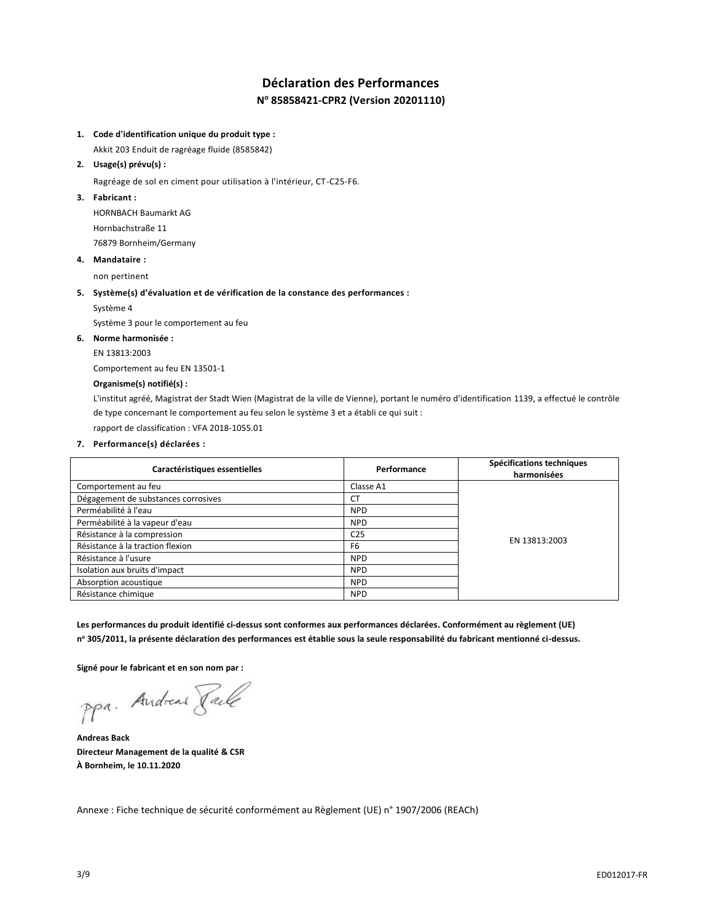# **Déclaration des Performances N <sup>o</sup> 85858421-CPR2 (Version 20201110)**

## **1. Code d'identification unique du produit type :**

Akkit 203 Enduit de ragréage fluide (8585842)

## **2. Usage(s) prévu(s) :**

Ragréage de sol en ciment pour utilisation à l'intérieur, CT-C25-F6.

## **3. Fabricant :**

HORNBACH Baumarkt AG Hornbachstraße 11 76879 Bornheim/Germany

#### **4. Mandataire :**

non pertinent

## **5. Système(s) d'évaluation et de vérification de la constance des performances :**

Système 4

Système 3 pour le comportement au feu

## **6. Norme harmonisée :**

EN 13813:2003

Comportement au feu EN 13501-1

## **Organisme(s) notifié(s) :**

L'institut agréé, Magistrat der Stadt Wien (Magistrat de la ville de Vienne), portant le numéro d'identification 1139, a effectué le contrôle de type concernant le comportement au feu selon le système 3 et a établi ce qui suit :

rapport de classification : VFA 2018-1055.01

## **7. Performance(s) déclarées :**

| Caractéristiques essentielles       | Performance     | Spécifications techniques<br>harmonisées |
|-------------------------------------|-----------------|------------------------------------------|
| Comportement au feu                 | Classe A1       |                                          |
| Dégagement de substances corrosives | <b>CT</b>       |                                          |
| Perméabilité à l'eau                | <b>NPD</b>      |                                          |
| Perméabilité à la vapeur d'eau      | <b>NPD</b>      | EN 13813:2003                            |
| Résistance à la compression         | C <sub>25</sub> |                                          |
| Résistance à la traction flexion    | F <sub>6</sub>  |                                          |
| Résistance à l'usure                | <b>NPD</b>      |                                          |
| Isolation aux bruits d'impact       | <b>NPD</b>      |                                          |
| Absorption acoustique               | <b>NPD</b>      |                                          |
| Résistance chimique                 | <b>NPD</b>      |                                          |

**Les performances du produit identifié ci-dessus sont conformes aux performances déclarées. Conformément au règlement (UE) n <sup>o</sup> 305/2011, la présente déclaration des performances est établie sous la seule responsabilité du fabricant mentionné ci-dessus.**

**Signé pour le fabricant et en son nom par :**

ppa. Andreas Fack

**Andreas Back Directeur Management de la qualité & CSR À Bornheim, le 10.11.2020**

Annexe : Fiche technique de sécurité conformément au Règlement (UE) n° 1907/2006 (REACh)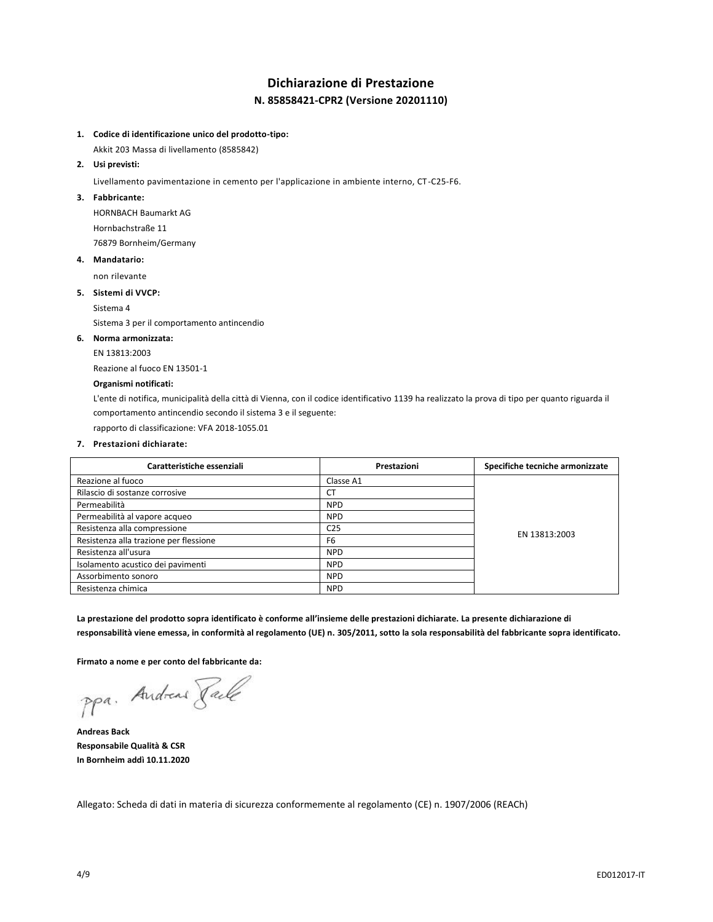# **Dichiarazione di Prestazione N. 85858421-CPR2 (Versione 20201110)**

## **1. Codice di identificazione unico del prodotto-tipo:**

Akkit 203 Massa di livellamento (8585842)

## **2. Usi previsti:**

Livellamento pavimentazione in cemento per l'applicazione in ambiente interno, CT-C25-F6.

#### **3. Fabbricante:**

HORNBACH Baumarkt AG Hornbachstraße 11 76879 Bornheim/Germany

#### **4. Mandatario:**

non rilevante

#### **5. Sistemi di VVCP:**

Sistema 4

Sistema 3 per il comportamento antincendio

## **6. Norma armonizzata:**

EN 13813:2003

Reazione al fuoco EN 13501-1

#### **Organismi notificati:**

L'ente di notifica, municipalità della città di Vienna, con il codice identificativo 1139 ha realizzato la prova di tipo per quanto riguarda il comportamento antincendio secondo il sistema 3 e il seguente:

rapporto di classificazione: VFA 2018-1055.01

## **7. Prestazioni dichiarate:**

| Caratteristiche essenziali             | Prestazioni     | Specifiche tecniche armonizzate |
|----------------------------------------|-----------------|---------------------------------|
| Reazione al fuoco                      | Classe A1       |                                 |
| Rilascio di sostanze corrosive         | <b>CT</b>       |                                 |
| Permeabilità                           | <b>NPD</b>      |                                 |
| Permeabilità al vapore acqueo          | <b>NPD</b>      | EN 13813:2003                   |
| Resistenza alla compressione           | C <sub>25</sub> |                                 |
| Resistenza alla trazione per flessione | F <sub>6</sub>  |                                 |
| Resistenza all'usura                   | <b>NPD</b>      |                                 |
| Isolamento acustico dei pavimenti      | <b>NPD</b>      |                                 |
| Assorbimento sonoro                    | <b>NPD</b>      |                                 |
| Resistenza chimica                     | <b>NPD</b>      |                                 |

**La prestazione del prodotto sopra identificato è conforme all'insieme delle prestazioni dichiarate. La presente dichiarazione di responsabilità viene emessa, in conformità al regolamento (UE) n. 305/2011, sotto la sola responsabilità del fabbricante sopra identificato.**

**Firmato a nome e per conto del fabbricante da:**

ppa. Andreas Tack

**Andreas Back Responsabile Qualità & CSR In Bornheim addì 10.11.2020**

Allegato: Scheda di dati in materia di sicurezza conformemente al regolamento (CE) n. 1907/2006 (REACh)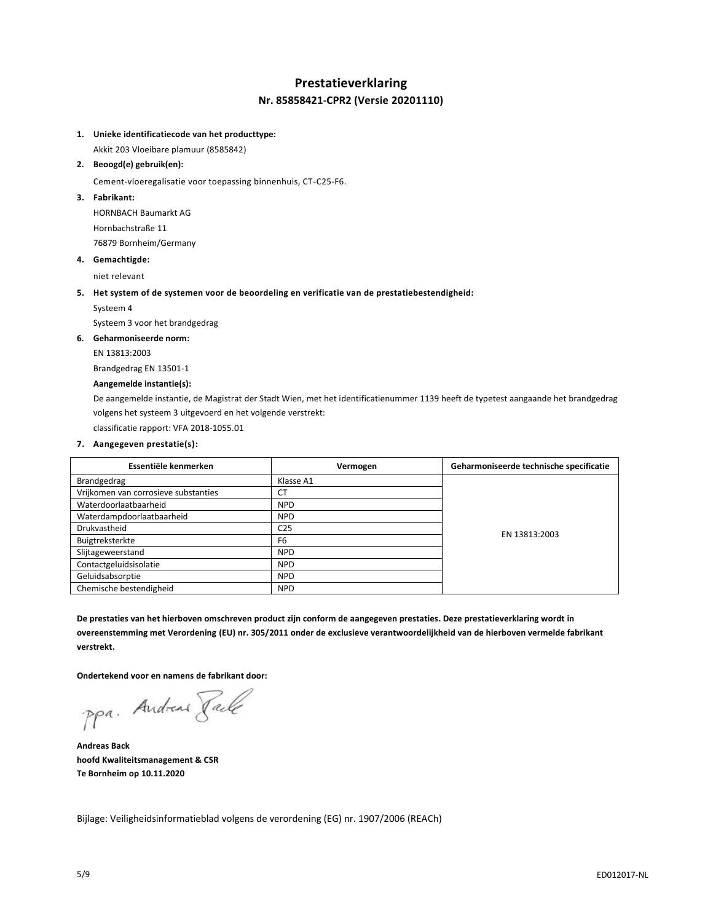## **Prestatieverklaring Nr. 85858421-CPR2 (Versie 20201110)**

## **1. Unieke identificatiecode van het producttype:**

Akkit 203 Vloeibare plamuur (8585842)

## **2. Beoogd(e) gebruik(en):**

Cement-vloeregalisatie voor toepassing binnenhuis, CT-C25-F6.

## **3. Fabrikant:**

HORNBACH Baumarkt AG Hornbachstraße 11 76879 Bornheim/Germany

#### **4. Gemachtigde:**

niet relevant

#### **5. Het system of de systemen voor de beoordeling en verificatie van de prestatiebestendigheid:**

Systeem 4

Systeem 3 voor het brandgedrag

## **6. Geharmoniseerde norm:**

EN 13813:2003

Brandgedrag EN 13501-1

## **Aangemelde instantie(s):**

De aangemelde instantie, de Magistrat der Stadt Wien, met het identificatienummer 1139 heeft de typetest aangaande het brandgedrag volgens het systeem 3 uitgevoerd en het volgende verstrekt:

classificatie rapport: VFA 2018-1055.01

## **7. Aangegeven prestatie(s):**

| Essentiële kenmerken                 | Vermogen        | Geharmoniseerde technische specificatie |
|--------------------------------------|-----------------|-----------------------------------------|
| Brandgedrag                          | Klasse A1       |                                         |
| Vrijkomen van corrosieve substanties | <b>CT</b>       |                                         |
| Waterdoorlaatbaarheid                | <b>NPD</b>      |                                         |
| Waterdampdoorlaatbaarheid            | <b>NPD</b>      |                                         |
| Drukvastheid                         | C <sub>25</sub> |                                         |
| Buigtreksterkte                      | F <sub>6</sub>  | EN 13813:2003                           |
| Slijtageweerstand                    | <b>NPD</b>      |                                         |
| Contactgeluidsisolatie               | <b>NPD</b>      |                                         |
| Geluidsabsorptie                     | <b>NPD</b>      |                                         |
| Chemische bestendigheid              | <b>NPD</b>      |                                         |

**De prestaties van het hierboven omschreven product zijn conform de aangegeven prestaties. Deze prestatieverklaring wordt in overeenstemming met Verordening (EU) nr. 305/2011 onder de exclusieve verantwoordelijkheid van de hierboven vermelde fabrikant verstrekt.**

**Ondertekend voor en namens de fabrikant door:**

ppa. Andreas Pale

**Andreas Back hoofd Kwaliteitsmanagement & CSR Te Bornheim op 10.11.2020**

Bijlage: Veiligheidsinformatieblad volgens de verordening (EG) nr. 1907/2006 (REACh)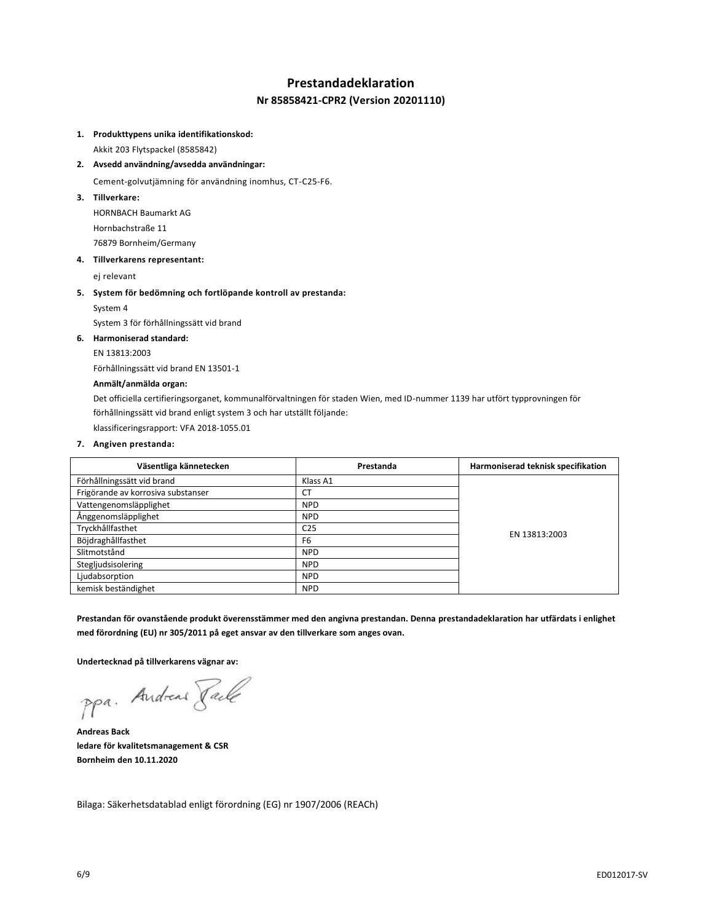## **Prestandadeklaration**

## **Nr 85858421-CPR2 (Version 20201110)**

#### **1. Produkttypens unika identifikationskod:**

Akkit 203 Flytspackel (8585842)

**2. Avsedd användning/avsedda användningar:**

Cement-golvutjämning för användning inomhus, CT-C25-F6.

**3. Tillverkare:**

HORNBACH Baumarkt AG Hornbachstraße 11 76879 Bornheim/Germany

#### **4. Tillverkarens representant:**

ej relevant

#### **5. System för bedömning och fortlöpande kontroll av prestanda:**

System 4

System 3 för förhållningssätt vid brand

## **6. Harmoniserad standard:**

EN 13813:2003

Förhållningssätt vid brand EN 13501-1

#### **Anmält/anmälda organ:**

Det officiella certifieringsorganet, kommunalförvaltningen för staden Wien, med ID-nummer 1139 har utfört typprovningen för förhållningssätt vid brand enligt system 3 och har utställt följande:

klassificeringsrapport: VFA 2018-1055.01

#### **7. Angiven prestanda:**

| Väsentliga kännetecken             | Prestanda       | Harmoniserad teknisk specifikation |
|------------------------------------|-----------------|------------------------------------|
| Förhållningssätt vid brand         | Klass A1        |                                    |
| Frigörande av korrosiva substanser | <b>CT</b>       |                                    |
| Vattengenomsläpplighet             | <b>NPD</b>      |                                    |
| Ånggenomsläpplighet                | <b>NPD</b>      |                                    |
| Tryckhållfasthet                   | C <sub>25</sub> |                                    |
| Böjdraghållfasthet                 | F <sub>6</sub>  | EN 13813:2003                      |
| Slitmotstånd                       | <b>NPD</b>      |                                    |
| Stegljudsisolering                 | <b>NPD</b>      |                                    |
| Ljudabsorption                     | <b>NPD</b>      |                                    |
| kemisk beständighet                | <b>NPD</b>      |                                    |

**Prestandan för ovanstående produkt överensstämmer med den angivna prestandan. Denna prestandadeklaration har utfärdats i enlighet med förordning (EU) nr 305/2011 på eget ansvar av den tillverkare som anges ovan.**

**Undertecknad på tillverkarens vägnar av:**

ppa. Andreas Fack

**Andreas Back ledare för kvalitetsmanagement & CSR Bornheim den 10.11.2020**

Bilaga: Säkerhetsdatablad enligt förordning (EG) nr 1907/2006 (REACh)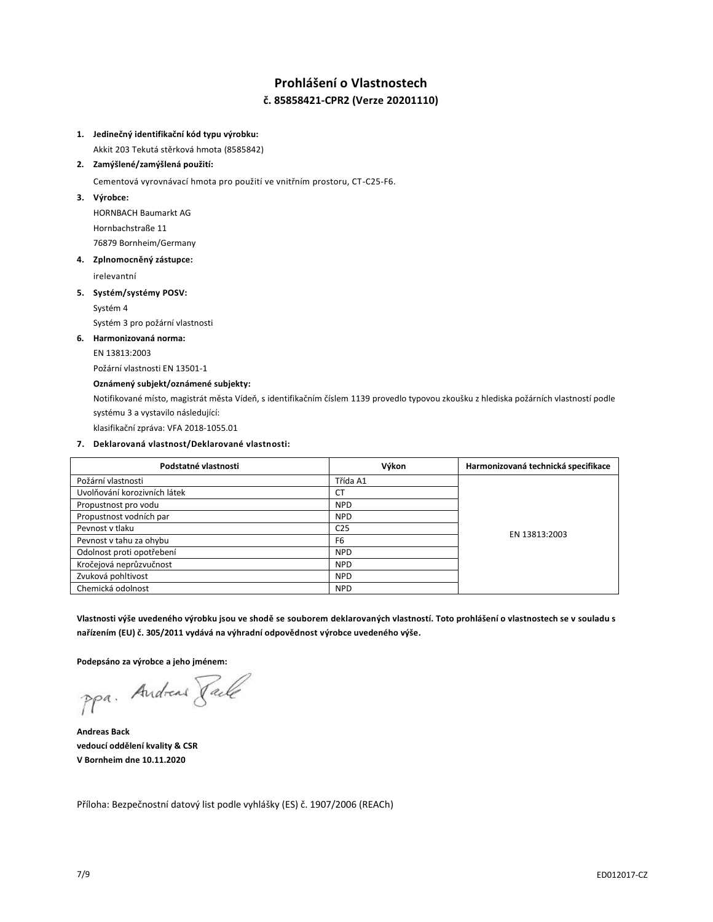# **Prohlášení o Vlastnostech č. 85858421-CPR2 (Verze 20201110)**

#### **1. Jedinečný identifikační kód typu výrobku:**

Akkit 203 Tekutá stěrková hmota (8585842)

## **2. Zamýšlené/zamýšlená použití:**

Cementová vyrovnávací hmota pro použití ve vnitřním prostoru, CT-C25-F6.

**3. Výrobce:**

HORNBACH Baumarkt AG Hornbachstraße 11 76879 Bornheim/Germany

#### **4. Zplnomocněný zástupce:**

irelevantní

## **5. Systém/systémy POSV:**

Systém 4

Systém 3 pro požární vlastnosti

## **6. Harmonizovaná norma:**

EN 13813:2003

Požární vlastnosti EN 13501-1

## **Oznámený subjekt/oznámené subjekty:**

Notifikované místo, magistrát města Vídeň, s identifikačním číslem 1139 provedlo typovou zkoušku z hlediska požárních vlastností podle systému 3 a vystavilo následující:

klasifikační zpráva: VFA 2018-1055.01

## **7. Deklarovaná vlastnost/Deklarované vlastnosti:**

| Podstatné vlastnosti         | Výkon           | Harmonizovaná technická specifikace |
|------------------------------|-----------------|-------------------------------------|
| Požární vlastnosti           | Třída A1        |                                     |
| Uvolňování korozivních látek | <b>CT</b>       |                                     |
| Propustnost pro vodu         | <b>NPD</b>      |                                     |
| Propustnost vodních par      | <b>NPD</b>      | EN 13813:2003                       |
| Peynost y tlaku              | C <sub>25</sub> |                                     |
| Pevnost v tahu za ohybu      | F <sub>6</sub>  |                                     |
| Odolnost proti opotřebení    | <b>NPD</b>      |                                     |
| Kročejová neprůzvučnost      | <b>NPD</b>      |                                     |
| Zvuková pohltivost           | <b>NPD</b>      |                                     |
| Chemická odolnost            | <b>NPD</b>      |                                     |

**Vlastnosti výše uvedeného výrobku jsou ve shodě se souborem deklarovaných vlastností. Toto prohlášení o vlastnostech se v souladu s nařízením (EU) č. 305/2011 vydává na výhradní odpovědnost výrobce uvedeného výše.**

**Podepsáno za výrobce a jeho jménem:**

ppa. Andreas Face

**Andreas Back vedoucí oddělení kvality & CSR V Bornheim dne 10.11.2020**

Příloha: Bezpečnostní datový list podle vyhlášky (ES) č. 1907/2006 (REACh)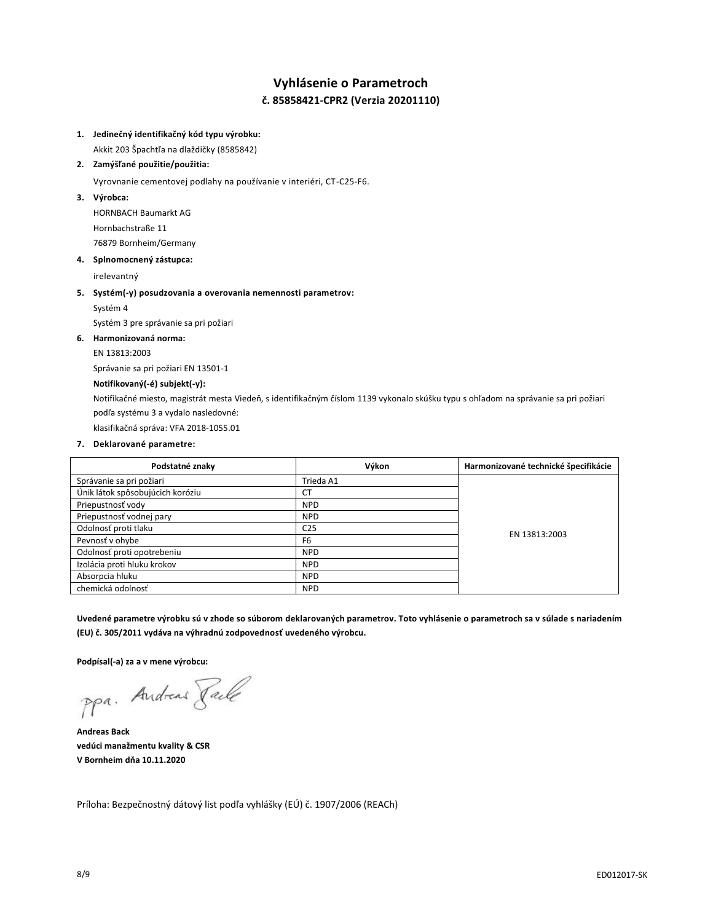# **Vyhlásenie o Parametroch č. 85858421-CPR2 (Verzia 20201110)**

## **1. Jedinečný identifikačný kód typu výrobku:**

Akkit 203 Špachtľa na dlaždičky (8585842)

## **2. Zamýšľané použitie/použitia:**

Vyrovnanie cementovej podlahy na používanie v interiéri, CT-C25-F6.

**3. Výrobca:**

HORNBACH Baumarkt AG Hornbachstraße 11 76879 Bornheim/Germany

#### **4. Splnomocnený zástupca:**

irelevantný

#### **5. Systém(-y) posudzovania a overovania nemennosti parametrov:**

Systém 4

Systém 3 pre správanie sa pri požiari

## **6. Harmonizovaná norma:**

EN 13813:2003

Správanie sa pri požiari EN 13501-1

## **Notifikovaný(-é) subjekt(-y):**

Notifikačné miesto, magistrát mesta Viedeň, s identifikačným číslom 1139 vykonalo skúšku typu s ohľadom na správanie sa pri požiari podľa systému 3 a vydalo nasledovné:

klasifikačná správa: VFA 2018-1055.01

## **7. Deklarované parametre:**

| Podstatné znaky                  | Výkon           | Harmonizované technické špecifikácie |
|----------------------------------|-----------------|--------------------------------------|
| Správanie sa pri požiari         | Trieda A1       |                                      |
| Únik látok spôsobujúcich koróziu | СT              |                                      |
| Priepustnosť vody                | <b>NPD</b>      |                                      |
| Priepustnosť vodnej pary         | <b>NPD</b>      | EN 13813:2003                        |
| Odolnosť proti tlaku             | C <sub>25</sub> |                                      |
| Pevnosť v ohybe                  | F <sub>6</sub>  |                                      |
| Odolnosť proti opotrebeniu       | <b>NPD</b>      |                                      |
| Izolácia proti hluku krokov      | <b>NPD</b>      |                                      |
| Absorpcia hluku                  | <b>NPD</b>      |                                      |
| chemická odolnosť                | <b>NPD</b>      |                                      |

**Uvedené parametre výrobku sú v zhode so súborom deklarovaných parametrov. Toto vyhlásenie o parametroch sa v súlade s nariadením (EU) č. 305/2011 vydáva na výhradnú zodpovednosť uvedeného výrobcu.**

**Podpísal(-a) za a v mene výrobcu:**

ppa. Andreas Face

**Andreas Back vedúci manažmentu kvality & CSR V Bornheim dňa 10.11.2020**

Príloha: Bezpečnostný dátový list podľa vyhlášky (EÚ) č. 1907/2006 (REACh)